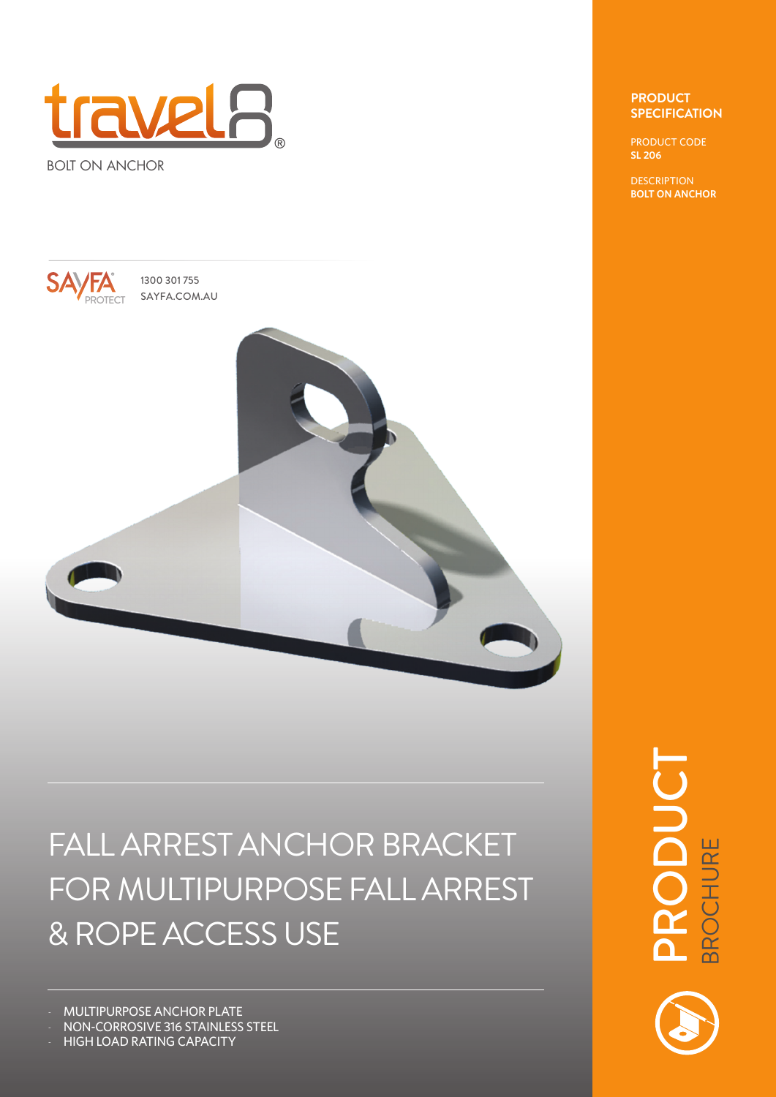

BOLT ON ANCHOR



1300 301 755



## FALL ARREST ANCHOR BRACKET FOR MULTIPURPOSE FALL ARREST & ROPE ACCESS USE

- MULTIPURPOSE ANCHOR PLATE

- NON-CORROSIVE 316 STAINLESS STEEL

- HIGH LOAD RATING CAPACITY

## **PRODUCT SPECIFICATION**

PRODUCT CODE **SL 206**

**DESCRIPTION BOLT ON ANCHOR**